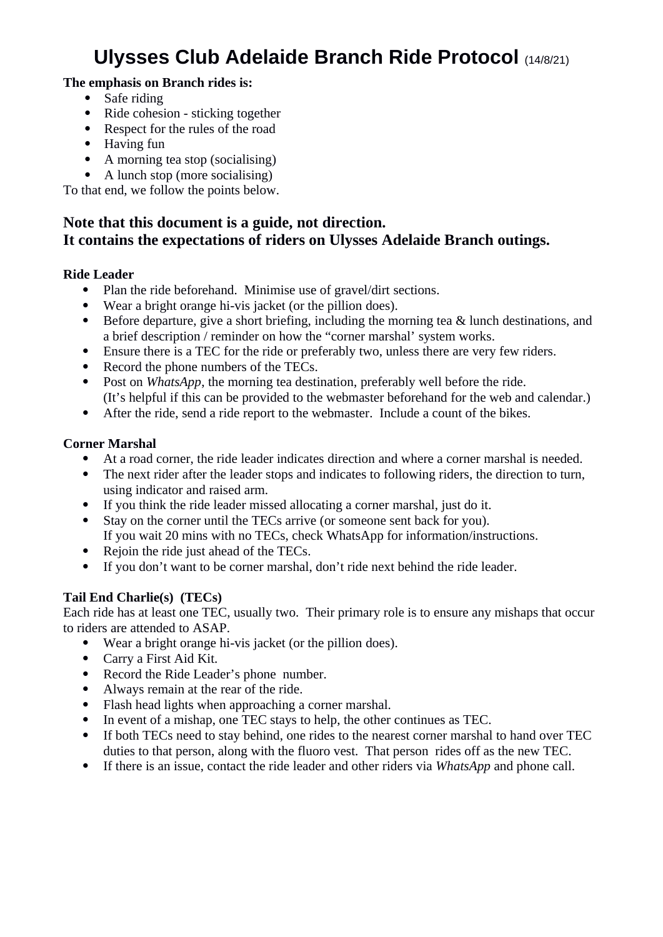# **Ulysses Club Adelaide Branch Ride Protocol** (14/8/21)

#### **The emphasis on Branch rides is:**

- Safe riding
- Ride cohesion sticking together
- Respect for the rules of the road
- $\bullet$  Having fun
- A morning tea stop (socialising)
- A lunch stop (more socialising)

To that end, we follow the points below.

## **Note that this document is a guide, not direction. It contains the expectations of riders on Ulysses Adelaide Branch outings.**

#### **Ride Leader**

- Plan the ride beforehand. Minimise use of gravel/dirt sections.<br>• Wear a bright orange hi-vis jacket (or the pillion does)
- Wear a bright orange hi-vis jacket (or the pillion does).
- Before departure, give a short briefing, including the morning tea & lunch destinations, and a brief description / reminder on how the "corner marshal' system works.
- Ensure there is a TEC for the ride or preferably two, unless there are very few riders.
- Record the phone numbers of the TECs.
- Post on *WhatsApp*, the morning tea destination, preferably well before the ride. (It's helpful if this can be provided to the webmaster beforehand for the web and calendar.)
- After the ride, send a ride report to the webmaster. Include a count of the bikes.

#### **Corner Marshal**

- At a road corner, the ride leader indicates direction and where a corner marshal is needed.
- The next rider after the leader stops and indicates to following riders, the direction to turn, using indicator and raised arm.
- If you think the ride leader missed allocating a corner marshal, just do it.
- Stay on the corner until the TECs arrive (or someone sent back for you). If you wait 20 mins with no TECs, check WhatsApp for information/instructions.
- Rejoin the ride just ahead of the TECs.
- If you don't want to be corner marshal, don't ride next behind the ride leader.

## **Tail End Charlie(s) (TECs)**

Each ride has at least one TEC, usually two. Their primary role is to ensure any mishaps that occur to riders are attended to ASAP.

- Wear a bright orange hi-vis jacket (or the pillion does).
- Carry a First Aid Kit.
- Record the Ride Leader's phone number.
- Always remain at the rear of the ride.
- Flash head lights when approaching a corner marshal.
- In event of a mishap, one TEC stays to help, the other continues as TEC.
- If both TECs need to stay behind, one rides to the nearest corner marshal to hand over TEC duties to that person, along with the fluoro vest. That person rides off as the new TEC.
- If there is an issue, contact the ride leader and other riders via *WhatsApp* and phone call.